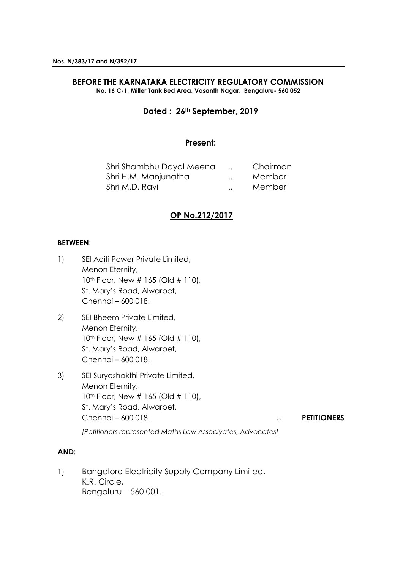#### **BEFORE THE KARNATAKA ELECTRICITY REGULATORY COMMISSION No. 16 C-1, Miller Tank Bed Area, Vasanth Nagar, Bengaluru- 560 052**

# **Dated : 26th September, 2019**

## **Present:**

| Shri Shambhu Dayal Meena |                      | Chairman |
|--------------------------|----------------------|----------|
| Shri H.M. Manjunatha     | $\ddot{\phantom{0}}$ | Member   |
| Shri M.D. Ravi           | $\ddot{\phantom{a}}$ | Member   |

# **OP No.212/2017**

## **BETWEEN:**

- 1) SEI Aditi Power Private Limited, Menon Eternity, 10<sup>th</sup> Floor, New # 165 (Old # 110), St. Mary's Road, Alwarpet, Chennai – 600 018.
- 2) SEI Bheem Private Limited, Menon Eternity, 10<sup>th</sup> Floor, New # 165 (Old # 110), St. Mary's Road, Alwarpet, Chennai – 600 018.
- 3) SEI Suryashakthi Private Limited, Menon Eternity, 10<sup>th</sup> Floor, New # 165 (Old # 110), St. Mary's Road, Alwarpet, Chennai – 600 018. **.. PETITIONERS**

*[Petitioners represented Maths Law Associyates, Advocates]*

## **AND:**

1) Bangalore Electricity Supply Company Limited, K.R. Circle, Bengaluru – 560 001.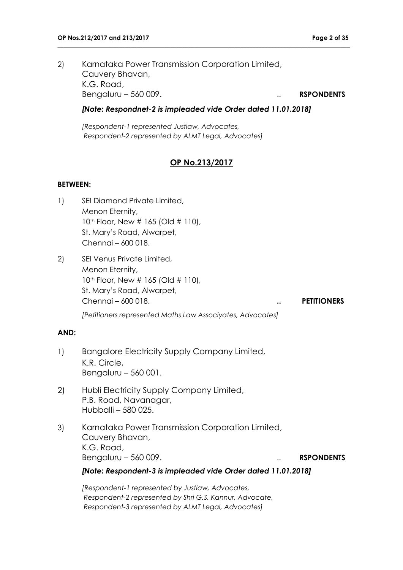2) Karnataka Power Transmission Corporation Limited, Cauvery Bhavan, K.G. Road, Bengaluru – 560 009. . . **RSPONDENTS** 

## *[Note: Respondnet-2 is impleaded vide Order dated 11.01.2018]*

**\_\_\_\_\_\_\_\_\_\_\_\_\_\_\_\_\_\_\_\_\_\_\_\_\_\_\_\_\_\_\_\_\_\_\_\_\_\_\_\_\_\_\_\_\_\_\_\_\_\_\_\_\_\_\_\_\_\_\_\_\_\_\_\_\_\_\_\_\_\_\_\_\_\_\_\_\_\_\_\_\_\_\_\_\_\_\_\_\_\_\_\_\_\_\_\_**

*[Respondent-1 represented Justlaw, Advocates, Respondent-2 represented by ALMT Legal, Advocates]*

# **OP No.213/2017**

#### **BETWEEN:**

- 1) SEI Diamond Private Limited, Menon Eternity, 10<sup>th</sup> Floor, New # 165 (Old # 110), St. Mary's Road, Alwarpet, Chennai – 600 018.
- 2) SEI Venus Private Limited, Menon Eternity, 10<sup>th</sup> Floor, New # 165 (Old # 110), St. Mary's Road, Alwarpet, Chennai – 600 018. **.. PETITIONERS** *[Petitioners represented Maths Law Associyates, Advocates]*

#### **AND:**

- 1) Bangalore Electricity Supply Company Limited, K.R. Circle, Bengaluru – 560 001.
- 2) Hubli Electricity Supply Company Limited, P.B. Road, Navanagar, Hubballi – 580 025.
- 3) Karnataka Power Transmission Corporation Limited, Cauvery Bhavan, K.G. Road, Bengaluru – 560 009. . . **RSPONDENTS**

*[Note: Respondent-3 is impleaded vide Order dated 11.01.2018]*

*[Respondent-1 represented by Justlaw, Advocates, Respondent-2 represented by Shri G.S. Kannur, Advocate, Respondent-3 represented by ALMT Legal, Advocates]*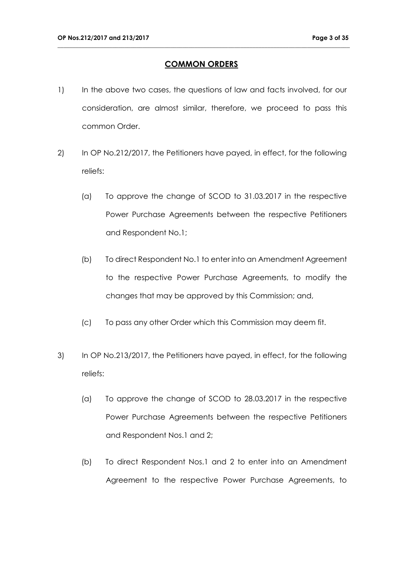# **COMMON ORDERS**

- 1) In the above two cases, the questions of law and facts involved, for our consideration, are almost similar, therefore, we proceed to pass this common Order.
- 2) In OP No.212/2017, the Petitioners have payed, in effect, for the following reliefs:
	- (a) To approve the change of SCOD to 31.03.2017 in the respective Power Purchase Agreements between the respective Petitioners and Respondent No.1;
	- (b) To direct Respondent No.1 to enter into an Amendment Agreement to the respective Power Purchase Agreements, to modify the changes that may be approved by this Commission; and,
	- (c) To pass any other Order which this Commission may deem fit.
- 3) In OP No.213/2017, the Petitioners have payed, in effect, for the following reliefs:
	- (a) To approve the change of SCOD to 28.03.2017 in the respective Power Purchase Agreements between the respective Petitioners and Respondent Nos.1 and 2;
	- (b) To direct Respondent Nos.1 and 2 to enter into an Amendment Agreement to the respective Power Purchase Agreements, to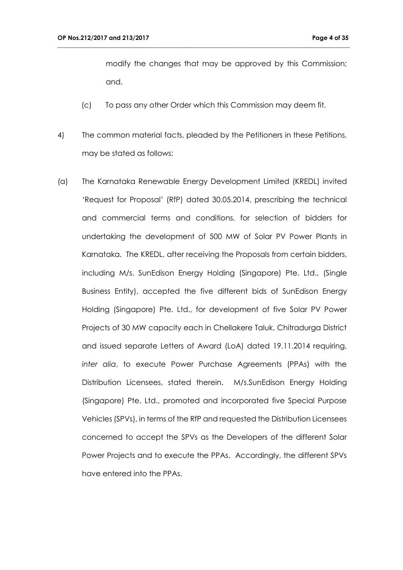modify the changes that may be approved by this Commission; and,

(c) To pass any other Order which this Commission may deem fit.

- 4) The common material facts, pleaded by the Petitioners in these Petitions, may be stated as follows:
- (a) The Karnataka Renewable Energy Development Limited (KREDL) invited 'Request for Proposal' (RfP) dated 30.05.2014, prescribing the technical and commercial terms and conditions, for selection of bidders for undertaking the development of 500 MW of Solar PV Power Plants in Karnataka. The KREDL, after receiving the Proposals from certain bidders, including M/s. SunEdison Energy Holding (Singapore) Pte. Ltd., (Single Business Entity), accepted the five different bids of SunEdison Energy Holding (Singapore) Pte. Ltd., for development of five Solar PV Power Projects of 30 MW capacity each in Chellakere Taluk, Chitradurga District and issued separate Letters of Award (LoA) dated 19.11.2014 requiring, *inter alia*, to execute Power Purchase Agreements (PPAs) with the Distribution Licensees, stated therein. M/s.SunEdison Energy Holding (Singapore) Pte. Ltd., promoted and incorporated five Special Purpose Vehicles (SPVs), in terms of the RfP and requested the Distribution Licensees concerned to accept the SPVs as the Developers of the different Solar Power Projects and to execute the PPAs. Accordingly, the different SPVs have entered into the PPAs.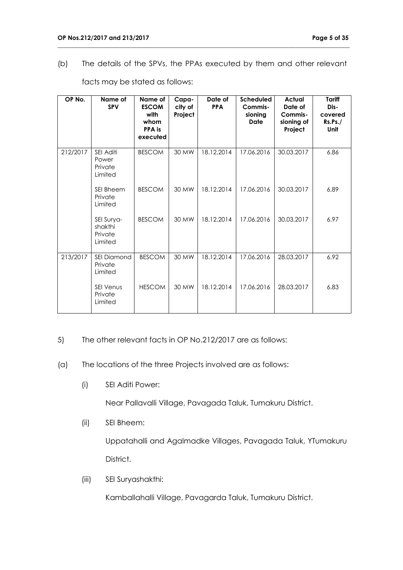(b) The details of the SPVs, the PPAs executed by them and other relevant

**\_\_\_\_\_\_\_\_\_\_\_\_\_\_\_\_\_\_\_\_\_\_\_\_\_\_\_\_\_\_\_\_\_\_\_\_\_\_\_\_\_\_\_\_\_\_\_\_\_\_\_\_\_\_\_\_\_\_\_\_\_\_\_\_\_\_\_\_\_\_\_\_\_\_\_\_\_\_\_\_\_\_\_\_\_\_\_\_\_\_\_\_\_\_\_\_**

| OP No.   | Name of<br><b>SPV</b>                       | Name of<br><b>ESCOM</b><br>with<br>whom<br>PPA is<br>executed | Capa-<br>city of<br>Project | Date of<br><b>PPA</b> | <b>Scheduled</b><br>Commis-<br>sioning<br>Date | <b>Actual</b><br>Date of<br>Commis-<br>sioning of<br>Project | Tariff<br>Dis-<br>covered<br>Rs.Ps./<br>Unit |
|----------|---------------------------------------------|---------------------------------------------------------------|-----------------------------|-----------------------|------------------------------------------------|--------------------------------------------------------------|----------------------------------------------|
| 212/2017 | SEI Aditi<br>Power<br>Private<br>Limited    | <b>BESCOM</b>                                                 | 30 MW                       | 18.12.2014            | 17.06.2016                                     | 30.03.2017                                                   | 6.86                                         |
|          | <b>SEI Bheem</b><br>Private<br>Limited      | <b>BESCOM</b>                                                 | 30 MW                       | 18.12.2014            | 17.06.2016                                     | 30.03.2017                                                   | 6.89                                         |
|          | SEI Surya-<br>shakthi<br>Private<br>Limited | <b>BESCOM</b>                                                 | 30 MW                       | 18.12.2014            | 17.06.2016                                     | 30.03.2017                                                   | 6.97                                         |
| 213/2017 | <b>SEI Diamond</b><br>Private<br>Limited    | <b>BESCOM</b>                                                 | 30 MW                       | 18.12.2014            | 17.06.2016                                     | 28.03.2017                                                   | 6.92                                         |
|          | <b>SEI Venus</b><br>Private<br>Limited      | <b>HESCOM</b>                                                 | 30 MW                       | 18.12.2014            | 17.06.2016                                     | 28.03.2017                                                   | 6.83                                         |

facts may be stated as follows:

# 5) The other relevant facts in OP No.212/2017 are as follows:

# (a) The locations of the three Projects involved are as follows:

(i) SEI Aditi Power:

Near Pallavalli Village, Pavagada Taluk, Tumakuru District.

(ii) SEI Bheem:

Uppatahalli and Agalmadke Villages, Pavagada Taluk, YTumakuru District.

(iii) SEI Suryashakthi:

Kamballahalli Village, Pavagarda Taluk, Tumakuru District.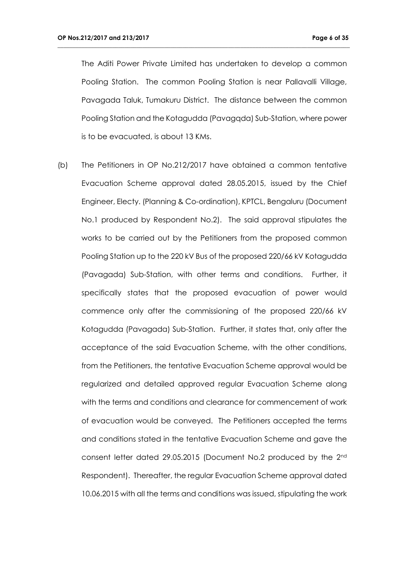The Aditi Power Private Limited has undertaken to develop a common Pooling Station. The common Pooling Station is near Pallavalli Village, Pavagada Taluk, Tumakuru District. The distance between the common Pooling Station and the Kotagudda (Pavagqda) Sub-Station, where power is to be evacuated, is about 13 KMs.

**\_\_\_\_\_\_\_\_\_\_\_\_\_\_\_\_\_\_\_\_\_\_\_\_\_\_\_\_\_\_\_\_\_\_\_\_\_\_\_\_\_\_\_\_\_\_\_\_\_\_\_\_\_\_\_\_\_\_\_\_\_\_\_\_\_\_\_\_\_\_\_\_\_\_\_\_\_\_\_\_\_\_\_\_\_\_\_\_\_\_\_\_\_\_\_\_**

(b) The Petitioners in OP No.212/2017 have obtained a common tentative Evacuation Scheme approval dated 28.05.2015, issued by the Chief Engineer, Electy. (Planning & Co-ordination), KPTCL, Bengaluru (Document No.1 produced by Respondent No.2). The said approval stipulates the works to be carried out by the Petitioners from the proposed common Pooling Station up to the 220 kV Bus of the proposed 220/66 kV Kotagudda (Pavagada) Sub-Station, with other terms and conditions. Further, it specifically states that the proposed evacuation of power would commence only after the commissioning of the proposed 220/66 kV Kotagudda (Pavagada) Sub-Station. Further, it states that, only after the acceptance of the said Evacuation Scheme, with the other conditions, from the Petitioners, the tentative Evacuation Scheme approval would be regularized and detailed approved regular Evacuation Scheme along with the terms and conditions and clearance for commencement of work of evacuation would be conveyed. The Petitioners accepted the terms and conditions stated in the tentative Evacuation Scheme and gave the consent letter dated 29.05.2015 (Document No.2 produced by the 2nd Respondent). Thereafter, the regular Evacuation Scheme approval dated 10.06.2015 with all the terms and conditions was issued, stipulating the work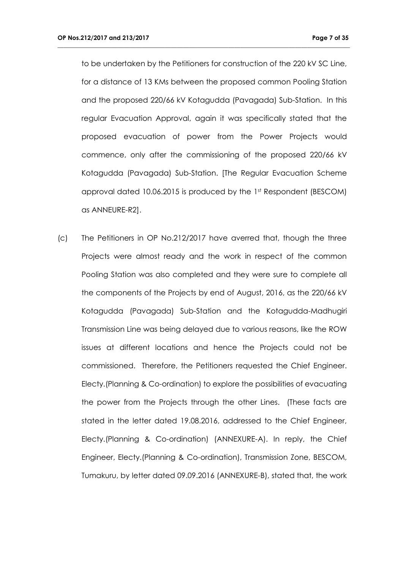to be undertaken by the Petitioners for construction of the 220 kV SC Line, for a distance of 13 KMs between the proposed common Pooling Station and the proposed 220/66 kV Kotagudda (Pavagada) Sub-Station. In this regular Evacuation Approval, again it was specifically stated that the proposed evacuation of power from the Power Projects would commence, only after the commissioning of the proposed 220/66 kV Kotagudda (Pavagada) Sub-Station. [The Regular Evacuation Scheme approval dated 10.06.2015 is produced by the 1st Respondent (BESCOM) as ANNEURE-R2].

**\_\_\_\_\_\_\_\_\_\_\_\_\_\_\_\_\_\_\_\_\_\_\_\_\_\_\_\_\_\_\_\_\_\_\_\_\_\_\_\_\_\_\_\_\_\_\_\_\_\_\_\_\_\_\_\_\_\_\_\_\_\_\_\_\_\_\_\_\_\_\_\_\_\_\_\_\_\_\_\_\_\_\_\_\_\_\_\_\_\_\_\_\_\_\_\_**

(c) The Petitioners in OP No.212/2017 have averred that, though the three Projects were almost ready and the work in respect of the common Pooling Station was also completed and they were sure to complete all the components of the Projects by end of August, 2016, as the 220/66 kV Kotagudda (Pavagada) Sub-Station and the Kotagudda-Madhugiri Transmission Line was being delayed due to various reasons, like the ROW issues at different locations and hence the Projects could not be commissioned. Therefore, the Petitioners requested the Chief Engineer. Electy.(Planning & Co-ordination) to explore the possibilities of evacuating the power from the Projects through the other Lines. (These facts are stated in the letter dated 19.08.2016, addressed to the Chief Engineer, Electy.(Planning & Co-ordination) (ANNEXURE-A). In reply, the Chief Engineer, Electy.(Planning & Co-ordination), Transmission Zone, BESCOM, Tumakuru, by letter dated 09.09.2016 (ANNEXURE-B), stated that, the work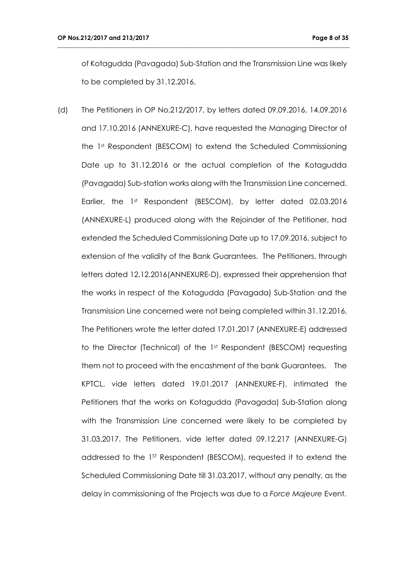of Kotagudda (Pavagada) Sub-Station and the Transmission Line was likely to be completed by 31.12.2016.

**\_\_\_\_\_\_\_\_\_\_\_\_\_\_\_\_\_\_\_\_\_\_\_\_\_\_\_\_\_\_\_\_\_\_\_\_\_\_\_\_\_\_\_\_\_\_\_\_\_\_\_\_\_\_\_\_\_\_\_\_\_\_\_\_\_\_\_\_\_\_\_\_\_\_\_\_\_\_\_\_\_\_\_\_\_\_\_\_\_\_\_\_\_\_\_\_**

(d) The Petitioners in OP No.212/2017, by letters dated 09.09.2016, 14.09.2016 and 17.10.2016 (ANNEXURE-C), have requested the Managing Director of the 1st Respondent (BESCOM) to extend the Scheduled Commissioning Date up to 31.12.2016 or the actual completion of the Kotagudda (Pavagada) Sub-station works along with the Transmission Line concerned. Earlier, the 1st Respondent (BESCOM), by letter dated 02.03.2016 (ANNEXURE-L) produced along with the Rejoinder of the Petitioner, had extended the Scheduled Commissioning Date up to 17.09.2016, subject to extension of the validity of the Bank Guarantees. The Petitioners, through letters dated 12.12.2016(ANNEXURE-D), expressed their apprehension that the works in respect of the Kotagudda (Pavagada) Sub-Station and the Transmission Line concerned were not being completed within 31.12.2016, The Petitioners wrote the letter dated 17.01.2017 (ANNEXURE-E) addressed to the Director (Technical) of the 1st Respondent (BESCOM) requesting them not to proceed with the encashment of the bank Guarantees. The KPTCL, vide letters dated 19.01.2017 (ANNEXURE-F), intimated the Petitioners that the works on Kotagudda (Pavagada) Sub-Station along with the Transmission Line concerned were likely to be completed by 31.03.2017. The Petitioners, vide letter dated 09.12.217 (ANNEXURE-G) addressed to the 1ST Respondent (BESCOM), requested it to extend the Scheduled Commissioning Date till 31.03.2017, without any penalty, as the delay in commissioning of the Projects was due to a *Force Majeure* Event.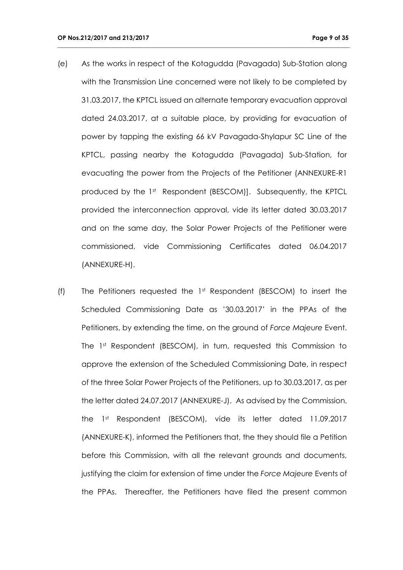(e) As the works in respect of the Kotagudda (Pavagada) Sub-Station along with the Transmission Line concerned were not likely to be completed by 31.03.2017, the KPTCL issued an alternate temporary evacuation approval dated 24.03.2017, at a suitable place, by providing for evacuation of power by tapping the existing 66 kV Pavagada-Shylapur SC Line of the KPTCL, passing nearby the Kotagudda (Pavagada) Sub-Station, for evacuating the power from the Projects of the Petitioner (ANNEXURE-R1 produced by the 1st Respondent (BESCOM)]. Subsequently, the KPTCL provided the interconnection approval, vide its letter dated 30.03.2017 and on the same day, the Solar Power Projects of the Petitioner were commissioned, vide Commissioning Certificates dated 06.04.2017 (ANNEXURE-H).

**\_\_\_\_\_\_\_\_\_\_\_\_\_\_\_\_\_\_\_\_\_\_\_\_\_\_\_\_\_\_\_\_\_\_\_\_\_\_\_\_\_\_\_\_\_\_\_\_\_\_\_\_\_\_\_\_\_\_\_\_\_\_\_\_\_\_\_\_\_\_\_\_\_\_\_\_\_\_\_\_\_\_\_\_\_\_\_\_\_\_\_\_\_\_\_\_**

(f) The Petitioners requested the 1st Respondent (BESCOM) to insert the Scheduled Commissioning Date as '30.03.2017' in the PPAs of the Petitioners, by extending the time, on the ground of *Force Majeure* Event. The 1<sup>st</sup> Respondent (BESCOM), in turn, requested this Commission to approve the extension of the Scheduled Commissioning Date, in respect of the three Solar Power Projects of the Petitioners, up to 30.03.2017, as per the letter dated 24.07.2017 (ANNEXURE-J). As advised by the Commission, the 1st Respondent (BESCOM), vide its letter dated 11.09.2017 (ANNEXURE-K), informed the Petitioners that, the they should file a Petition before this Commission, with all the relevant grounds and documents, justifying the claim for extension of time under the *Force Majeure* Events of the PPAs. Thereafter, the Petitioners have filed the present common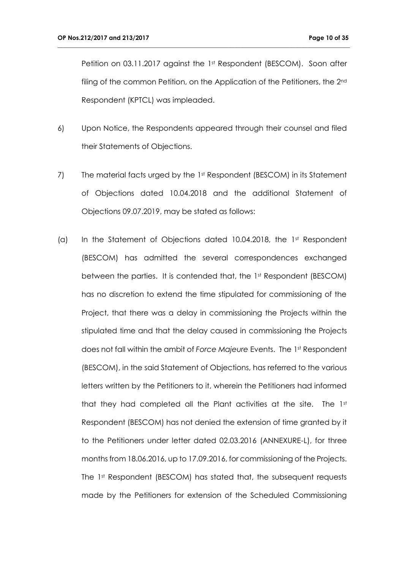Petition on 03.11.2017 against the 1st Respondent (BESCOM). Soon after filing of the common Petition, on the Application of the Petitioners, the 2<sup>nd</sup> Respondent (KPTCL) was impleaded.

- 6) Upon Notice, the Respondents appeared through their counsel and filed their Statements of Objections.
- 7) The material facts urged by the 1st Respondent (BESCOM) in its Statement of Objections dated 10.04.2018 and the additional Statement of Objections 09.07.2019, may be stated as follows:
- (a) In the Statement of Objections dated 10.04.2018, the 1st Respondent (BESCOM) has admitted the several correspondences exchanged between the parties. It is contended that, the 1st Respondent (BESCOM) has no discretion to extend the time stipulated for commissioning of the Project, that there was a delay in commissioning the Projects within the stipulated time and that the delay caused in commissioning the Projects does not fall within the ambit of *Force Majeure* Events. The 1st Respondent (BESCOM), in the said Statement of Objections, has referred to the various letters written by the Petitioners to it, wherein the Petitioners had informed that they had completed all the Plant activities at the site. The  $1<sup>st</sup>$ Respondent (BESCOM) has not denied the extension of time granted by it to the Petitioners under letter dated 02.03.2016 (ANNEXURE-L), for three months from 18.06.2016, up to 17.09.2016, for commissioning of the Projects. The 1st Respondent (BESCOM) has stated that, the subsequent requests made by the Petitioners for extension of the Scheduled Commissioning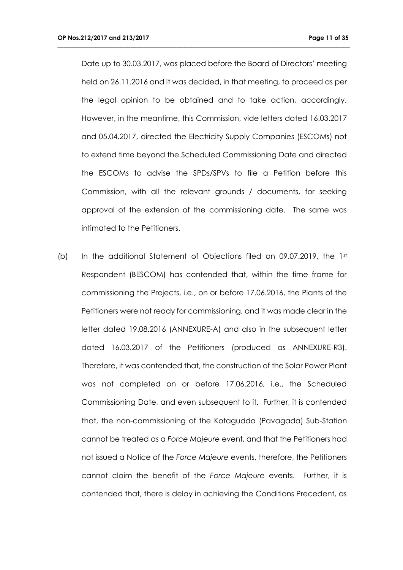Date up to 30.03.2017, was placed before the Board of Directors' meeting held on 26.11.2016 and it was decided, in that meeting, to proceed as per the legal opinion to be obtained and to take action, accordingly. However, in the meantime, this Commission, vide letters dated 16.03.2017 and 05.04.2017, directed the Electricity Supply Companies (ESCOMs) not to extend time beyond the Scheduled Commissioning Date and directed the ESCOMs to advise the SPDs/SPVs to file a Petition before this Commission, with all the relevant grounds / documents, for seeking approval of the extension of the commissioning date. The same was intimated to the Petitioners.

**\_\_\_\_\_\_\_\_\_\_\_\_\_\_\_\_\_\_\_\_\_\_\_\_\_\_\_\_\_\_\_\_\_\_\_\_\_\_\_\_\_\_\_\_\_\_\_\_\_\_\_\_\_\_\_\_\_\_\_\_\_\_\_\_\_\_\_\_\_\_\_\_\_\_\_\_\_\_\_\_\_\_\_\_\_\_\_\_\_\_\_\_\_\_\_\_**

(b) In the additional Statement of Objections filed on 09.07.2019, the 1st Respondent (BESCOM) has contended that, within the time frame for commissioning the Projects, i.e., on or before 17.06.2016, the Plants of the Petitioners were not ready for commissioning, and it was made clear in the letter dated 19.08.2016 (ANNEXURE-A) and also in the subsequent letter dated 16.03.2017 of the Petitioners (produced as ANNEXURE-R3). Therefore, it was contended that, the construction of the Solar Power Plant was not completed on or before 17.06.2016, i.e., the Scheduled Commissioning Date, and even subsequent to it. Further, it is contended that, the non-commissioning of the Kotagudda (Pavagada) Sub-Station cannot be treated as a *Force Majeure* event, and that the Petitioners had not issued a Notice of the *Force Majeure* events, therefore, the Petitioners cannot claim the benefit of the *Force Majeure* events. Further, it is contended that, there is delay in achieving the Conditions Precedent, as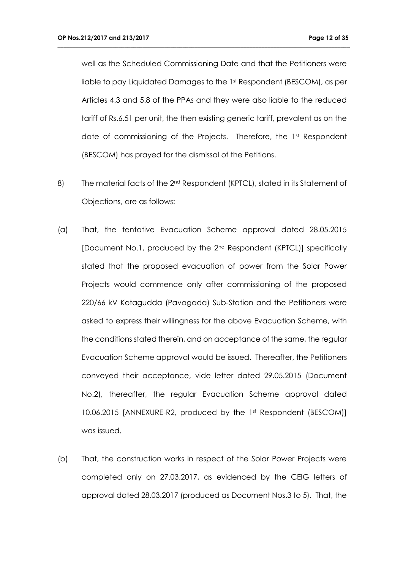well as the Scheduled Commissioning Date and that the Petitioners were liable to pay Liquidated Damages to the 1st Respondent (BESCOM), as per Articles 4.3 and 5.8 of the PPAs and they were also liable to the reduced tariff of Rs.6.51 per unit, the then existing generic tariff, prevalent as on the date of commissioning of the Projects. Therefore, the 1st Respondent (BESCOM) has prayed for the dismissal of the Petitions.

- 8) The material facts of the 2<sup>nd</sup> Respondent (KPTCL), stated in its Statement of Objections, are as follows:
- (a) That, the tentative Evacuation Scheme approval dated 28.05.2015 [Document No.1, produced by the 2nd Respondent (KPTCL)] specifically stated that the proposed evacuation of power from the Solar Power Projects would commence only after commissioning of the proposed 220/66 kV Kotagudda (Pavagada) Sub-Station and the Petitioners were asked to express their willingness for the above Evacuation Scheme, with the conditions stated therein, and on acceptance of the same, the regular Evacuation Scheme approval would be issued. Thereafter, the Petitioners conveyed their acceptance, vide letter dated 29.05.2015 (Document No.2), thereafter, the regular Evacuation Scheme approval dated 10.06.2015 [ANNEXURE-R2, produced by the 1st Respondent (BESCOM)] was issued.
- (b) That, the construction works in respect of the Solar Power Projects were completed only on 27.03.2017, as evidenced by the CEIG letters of approval dated 28.03.2017 (produced as Document Nos.3 to 5). That, the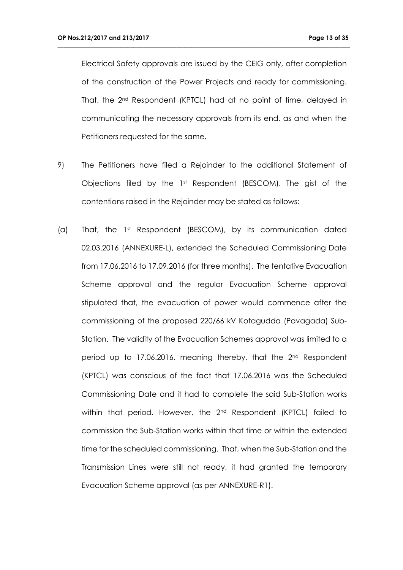Electrical Safety approvals are issued by the CEIG only, after completion of the construction of the Power Projects and ready for commissioning. That, the 2nd Respondent (KPTCL) had at no point of time, delayed in communicating the necessary approvals from its end, as and when the Petitioners requested for the same.

- 9) The Petitioners have filed a Rejoinder to the additional Statement of Objections filed by the 1st Respondent (BESCOM). The gist of the contentions raised in the Rejoinder may be stated as follows:
- (a) That, the 1st Respondent (BESCOM), by its communication dated 02.03.2016 (ANNEXURE-L), extended the Scheduled Commissioning Date from 17.06.2016 to 17.09.2016 (for three months). The tentative Evacuation Scheme approval and the regular Evacuation Scheme approval stipulated that, the evacuation of power would commence after the commissioning of the proposed 220/66 kV Kotagudda (Pavagada) Sub-Station. The validity of the Evacuation Schemes approval was limited to a period up to 17.06.2016, meaning thereby, that the 2nd Respondent (KPTCL) was conscious of the fact that 17.06.2016 was the Scheduled Commissioning Date and it had to complete the said Sub-Station works within that period. However, the 2<sup>nd</sup> Respondent (KPTCL) failed to commission the Sub-Station works within that time or within the extended time for the scheduled commissioning. That, when the Sub-Station and the Transmission Lines were still not ready, it had granted the temporary Evacuation Scheme approval (as per ANNEXURE-R1).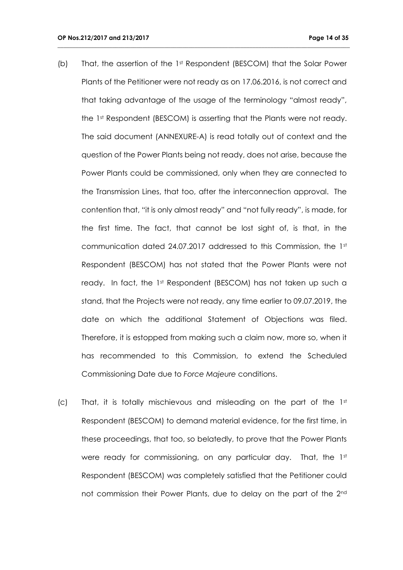(b) That, the assertion of the 1st Respondent (BESCOM) that the Solar Power Plants of the Petitioner were not ready as on 17.06.2016, is not correct and that taking advantage of the usage of the terminology "almost ready", the 1st Respondent (BESCOM) is asserting that the Plants were not ready. The said document (ANNEXURE-A) is read totally out of context and the question of the Power Plants being not ready, does not arise, because the Power Plants could be commissioned, only when they are connected to the Transmission Lines, that too, after the interconnection approval. The contention that, "it is only almost ready" and "not fully ready", is made, for the first time. The fact, that cannot be lost sight of, is that, in the communication dated 24.07.2017 addressed to this Commission, the 1st Respondent (BESCOM) has not stated that the Power Plants were not ready. In fact, the 1st Respondent (BESCOM) has not taken up such a stand, that the Projects were not ready, any time earlier to 09.07.2019, the date on which the additional Statement of Objections was filed. Therefore, it is estopped from making such a claim now, more so, when it has recommended to this Commission, to extend the Scheduled Commissioning Date due to *Force Majeure* conditions.

**\_\_\_\_\_\_\_\_\_\_\_\_\_\_\_\_\_\_\_\_\_\_\_\_\_\_\_\_\_\_\_\_\_\_\_\_\_\_\_\_\_\_\_\_\_\_\_\_\_\_\_\_\_\_\_\_\_\_\_\_\_\_\_\_\_\_\_\_\_\_\_\_\_\_\_\_\_\_\_\_\_\_\_\_\_\_\_\_\_\_\_\_\_\_\_\_**

(c) That, it is totally mischievous and misleading on the part of the  $1<sup>st</sup>$ Respondent (BESCOM) to demand material evidence, for the first time, in these proceedings, that too, so belatedly, to prove that the Power Plants were ready for commissioning, on any particular day. That, the 1st Respondent (BESCOM) was completely satisfied that the Petitioner could not commission their Power Plants, due to delay on the part of the 2nd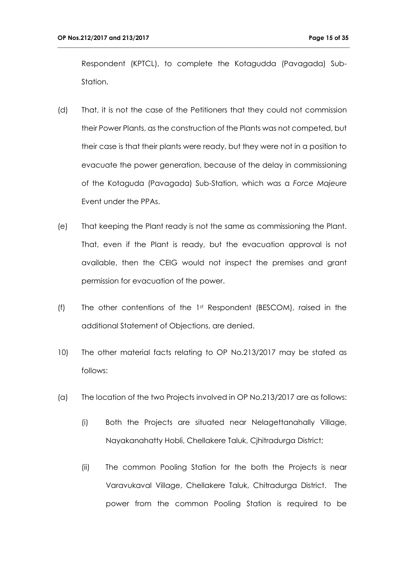Respondent (KPTCL), to complete the Kotagudda (Pavagada) Sub-Station.

- (d) That, it is not the case of the Petitioners that they could not commission their Power Plants, as the construction of the Plants was not competed, but their case is that their plants were ready, but they were not in a position to evacuate the power generation, because of the delay in commissioning of the Kotaguda (Pavagada) Sub-Station, which was a *Force Majeure* Event under the PPAs.
- (e) That keeping the Plant ready is not the same as commissioning the Plant. That, even if the Plant is ready, but the evacuation approval is not available, then the CEIG would not inspect the premises and grant permission for evacuation of the power.
- (f) The other contentions of the 1st Respondent (BESCOM), raised in the additional Statement of Objections, are denied.
- 10) The other material facts relating to OP No.213/2017 may be stated as follows:
- (a) The location of the two Projects involved in OP No.213/2017 are as follows:
	- (i) Both the Projects are situated near Nelagettanahally Village, Nayakanahatty Hobli, Chellakere Taluk, Cjhitradurga District;
	- (ii) The common Pooling Station for the both the Projects is near Varavukaval Village, Chellakere Taluk, Chitradurga District. The power from the common Pooling Station is required to be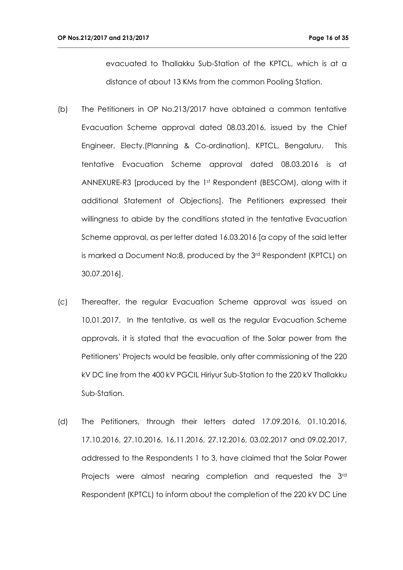evacuated to Thallakku Sub-Station of the KPTCL, which is at a distance of about 13 KMs from the common Pooling Station.

- (b) The Petitioners in OP No.213/2017 have obtained a common tentative Evacuation Scheme approval dated 08.03.2016, issued by the Chief Engineer, Electy.(Planning & Co-ordination), KPTCL, Bengaluru. This tentative Evacuation Scheme approval dated 08.03.2016 is at ANNEXURE-R3 [produced by the 1st Respondent (BESCOM), along with it additional Statement of Objections]. The Petitioners expressed their willingness to abide by the conditions stated in the tentative Evacuation Scheme approval, as per letter dated 16.03.2016 [a copy of the said letter is marked a Document No;8, produced by the 3rd Respondent (KPTCL) on 30.07.2016].
- (c) Thereafter, the regular Evacuation Scheme approval was issued on 10.01.2017. In the tentative, as well as the regular Evacuation Scheme approvals, it is stated that the evacuation of the Solar power from the Petitioners' Projects would be feasible, only after commissioning of the 220 kV DC line from the 400 kV PGCIL Hiriyur Sub-Station to the 220 kV Thallakku Sub-Station.
- (d) The Petitioners, through their letters dated 17.09.2016, 01.10.2016, 17.10.2016, 27.10.2016, 16.11.2016, 27.12.2016, 03.02.2017 and 09.02.2017, addressed to the Respondents 1 to 3, have claimed that the Solar Power Projects were almost nearing completion and requested the 3rd Respondent (KPTCL) to inform about the completion of the 220 kV DC Line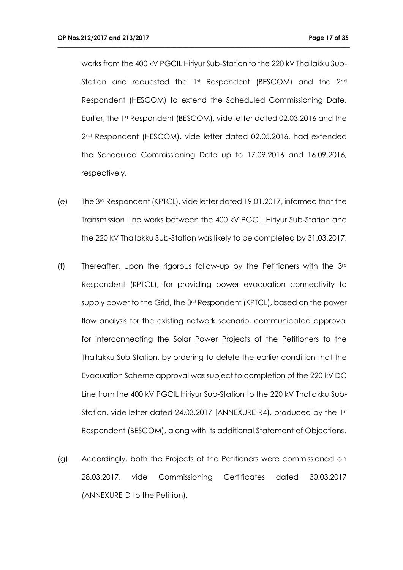works from the 400 kV PGCIL Hiriyur Sub-Station to the 220 kV Thallakku Sub-Station and requested the 1st Respondent (BESCOM) and the 2nd Respondent (HESCOM) to extend the Scheduled Commissioning Date. Earlier, the 1st Respondent (BESCOM), vide letter dated 02.03.2016 and the 2nd Respondent (HESCOM), vide letter dated 02.05.2016, had extended the Scheduled Commissioning Date up to 17.09.2016 and 16.09.2016, respectively.

- (e) The 3rd Respondent (KPTCL), vide letter dated 19.01.2017, informed that the Transmission Line works between the 400 kV PGCIL Hiriyur Sub-Station and the 220 kV Thallakku Sub-Station was likely to be completed by 31.03.2017.
- (f) Thereafter, upon the rigorous follow-up by the Petitioners with the 3rd Respondent (KPTCL), for providing power evacuation connectivity to supply power to the Grid, the 3<sup>rd</sup> Respondent (KPTCL), based on the power flow analysis for the existing network scenario, communicated approval for interconnecting the Solar Power Projects of the Petitioners to the Thallakku Sub-Station, by ordering to delete the earlier condition that the Evacuation Scheme approval was subject to completion of the 220 kV DC Line from the 400 kV PGCIL Hiriyur Sub-Station to the 220 kV Thallakku Sub-Station, vide letter dated 24.03.2017 [ANNEXURE-R4), produced by the 1st Respondent (BESCOM), along with its additional Statement of Objections.
- (g) Accordingly, both the Projects of the Petitioners were commissioned on 28.03.2017, vide Commissioning Certificates dated 30.03.2017 (ANNEXURE-D to the Petition).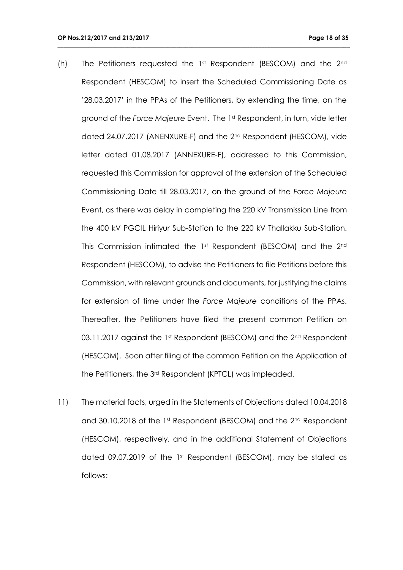(h) The Petitioners requested the 1st Respondent (BESCOM) and the 2nd Respondent (HESCOM) to insert the Scheduled Commissioning Date as '28.03.2017' in the PPAs of the Petitioners, by extending the time, on the ground of the *Force Majeure* Event. The 1st Respondent, in turn, vide letter dated 24.07.2017 (ANENXURE-F) and the 2<sup>nd</sup> Respondent (HESCOM), vide letter dated 01.08.2017 (ANNEXURE-F), addressed to this Commission, requested this Commission for approval of the extension of the Scheduled Commissioning Date till 28.03.2017, on the ground of the *Force Majeure* Event, as there was delay in completing the 220 kV Transmission Line from the 400 kV PGCIL Hiriyur Sub-Station to the 220 kV Thallakku Sub-Station. This Commission intimated the 1st Respondent (BESCOM) and the 2<sup>nd</sup> Respondent (HESCOM), to advise the Petitioners to file Petitions before this Commission, with relevant grounds and documents, for justifying the claims for extension of time under the *Force Majeure* conditions of the PPAs. Thereafter, the Petitioners have filed the present common Petition on 03.11.2017 against the 1st Respondent (BESCOM) and the  $2<sup>nd</sup>$  Respondent (HESCOM). Soon after filing of the common Petition on the Application of the Petitioners, the 3rd Respondent (KPTCL) was impleaded.

**\_\_\_\_\_\_\_\_\_\_\_\_\_\_\_\_\_\_\_\_\_\_\_\_\_\_\_\_\_\_\_\_\_\_\_\_\_\_\_\_\_\_\_\_\_\_\_\_\_\_\_\_\_\_\_\_\_\_\_\_\_\_\_\_\_\_\_\_\_\_\_\_\_\_\_\_\_\_\_\_\_\_\_\_\_\_\_\_\_\_\_\_\_\_\_\_**

11) The material facts, urged in the Statements of Objections dated 10.04.2018 and 30.10.2018 of the 1st Respondent (BESCOM) and the 2<sup>nd</sup> Respondent (HESCOM), respectively, and in the additional Statement of Objections dated 09.07.2019 of the 1st Respondent (BESCOM), may be stated as follows: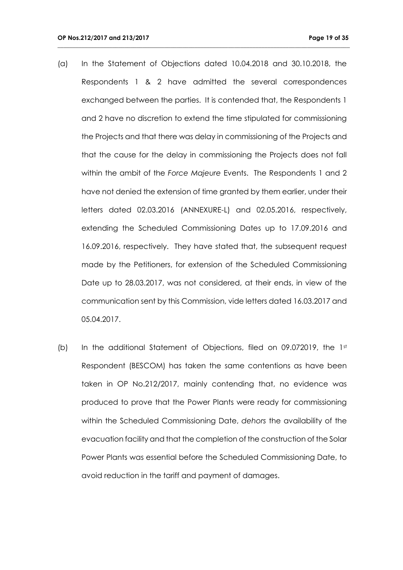(a) In the Statement of Objections dated 10.04.2018 and 30.10.2018, the Respondents 1 & 2 have admitted the several correspondences exchanged between the parties. It is contended that, the Respondents 1 and 2 have no discretion to extend the time stipulated for commissioning the Projects and that there was delay in commissioning of the Projects and that the cause for the delay in commissioning the Projects does not fall within the ambit of the *Force Majeure* Events. The Respondents 1 and 2 have not denied the extension of time granted by them earlier, under their letters dated 02.03.2016 (ANNEXURE-L) and 02.05.2016, respectively, extending the Scheduled Commissioning Dates up to 17.09.2016 and 16.09.2016, respectively. They have stated that, the subsequent request made by the Petitioners, for extension of the Scheduled Commissioning Date up to 28.03.2017, was not considered, at their ends, in view of the communication sent by this Commission, vide letters dated 16.03.2017 and 05.04.2017.

**\_\_\_\_\_\_\_\_\_\_\_\_\_\_\_\_\_\_\_\_\_\_\_\_\_\_\_\_\_\_\_\_\_\_\_\_\_\_\_\_\_\_\_\_\_\_\_\_\_\_\_\_\_\_\_\_\_\_\_\_\_\_\_\_\_\_\_\_\_\_\_\_\_\_\_\_\_\_\_\_\_\_\_\_\_\_\_\_\_\_\_\_\_\_\_\_**

(b) In the additional Statement of Objections, filed on 09.072019, the 1st Respondent (BESCOM) has taken the same contentions as have been taken in OP No.212/2017, mainly contending that, no evidence was produced to prove that the Power Plants were ready for commissioning within the Scheduled Commissioning Date, *dehors* the availability of the evacuation facility and that the completion of the construction of the Solar Power Plants was essential before the Scheduled Commissioning Date, to avoid reduction in the tariff and payment of damages.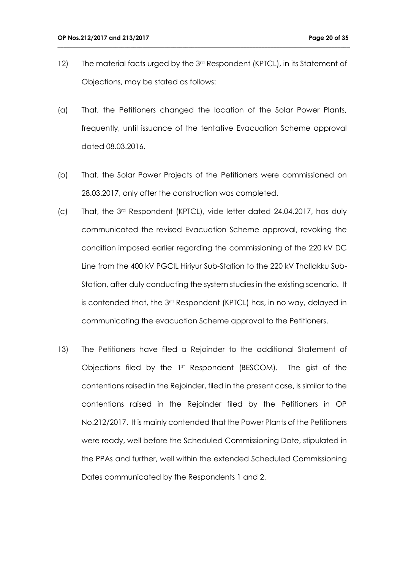12) The material facts urged by the 3<sup>rd</sup> Respondent (KPTCL), in its Statement of Objections, may be stated as follows:

- (a) That, the Petitioners changed the location of the Solar Power Plants, frequently, until issuance of the tentative Evacuation Scheme approval dated 08.03.2016.
- (b) That, the Solar Power Projects of the Petitioners were commissioned on 28.03.2017, only after the construction was completed.
- (c) That, the 3rd Respondent (KPTCL), vide letter dated 24.04.2017, has duly communicated the revised Evacuation Scheme approval, revoking the condition imposed earlier regarding the commissioning of the 220 kV DC Line from the 400 kV PGCIL Hiriyur Sub-Station to the 220 kV Thallakku Sub-Station, after duly conducting the system studies in the existing scenario. It is contended that, the 3rd Respondent (KPTCL) has, in no way, delayed in communicating the evacuation Scheme approval to the Petitioners.
- 13) The Petitioners have filed a Rejoinder to the additional Statement of Objections filed by the 1st Respondent (BESCOM). The gist of the contentions raised in the Rejoinder, filed in the present case, is similar to the contentions raised in the Rejoinder filed by the Petitioners in OP No.212/2017. It is mainly contended that the Power Plants of the Petitioners were ready, well before the Scheduled Commissioning Date, stipulated in the PPAs and further, well within the extended Scheduled Commissioning Dates communicated by the Respondents 1 and 2.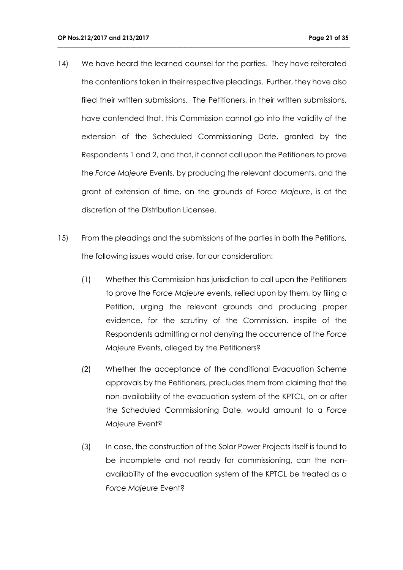14) We have heard the learned counsel for the parties. They have reiterated the contentions taken in their respective pleadings. Further, they have also filed their written submissions. The Petitioners, in their written submissions, have contended that, this Commission cannot go into the validity of the extension of the Scheduled Commissioning Date, granted by the Respondents 1 and 2, and that, it cannot call upon the Petitioners to prove the *Force Majeure* Events, by producing the relevant documents, and the grant of extension of time, on the grounds of *Force Majeure*, is at the discretion of the Distribution Licensee.

- 15) From the pleadings and the submissions of the parties in both the Petitions, the following issues would arise, for our consideration:
	- (1) Whether this Commission has jurisdiction to call upon the Petitioners to prove the *Force Majeure* events, relied upon by them, by filing a Petition, urging the relevant grounds and producing proper evidence, for the scrutiny of the Commission, inspite of the Respondents admitting or not denying the occurrence of the *Force Majeure* Events, alleged by the Petitioners?
	- (2) Whether the acceptance of the conditional Evacuation Scheme approvals by the Petitioners, precludes them from claiming that the non-availability of the evacuation system of the KPTCL, on or after the Scheduled Commissioning Date, would amount to a *Force Majeure* Event?
	- (3) In case, the construction of the Solar Power Projects itself is found to be incomplete and not ready for commissioning, can the nonavailability of the evacuation system of the KPTCL be treated as a *Force Majeure* Event?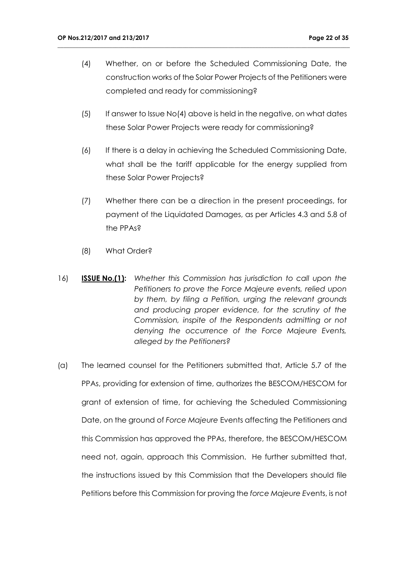(4) Whether, on or before the Scheduled Commissioning Date, the construction works of the Solar Power Projects of the Petitioners were completed and ready for commissioning?

- $(5)$  If answer to Issue No(4) above is held in the negative, on what dates these Solar Power Projects were ready for commissioning?
- (6) If there is a delay in achieving the Scheduled Commissioning Date, what shall be the tariff applicable for the energy supplied from these Solar Power Projects?
- (7) Whether there can be a direction in the present proceedings, for payment of the Liquidated Damages, as per Articles 4.3 and 5.8 of the PPAs?
- (8) What Order?
- 16) **ISSUE No.(1):** *Whether this Commission has jurisdiction to call upon the Petitioners to prove the Force Majeure events, relied upon by them, by filing a Petition, urging the relevant grounds and producing proper evidence, for the scrutiny of the Commission, inspite of the Respondents admitting or not denying the occurrence of the Force Majeure Events, alleged by the Petitioners?*
- (a) The learned counsel for the Petitioners submitted that, Article 5.7 of the PPAs, providing for extension of time, authorizes the BESCOM/HESCOM for grant of extension of time, for achieving the Scheduled Commissioning Date, on the ground of *Force Majeure* Events affecting the Petitioners and this Commission has approved the PPAs, therefore, the BESCOM/HESCOM need not, again, approach this Commission. He further submitted that, the instructions issued by this Commission that the Developers should file Petitions before this Commission for proving the *force Majeure E*vents, is not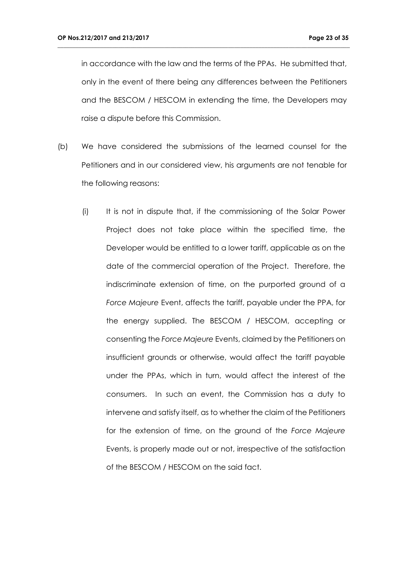in accordance with the law and the terms of the PPAs. He submitted that, only in the event of there being any differences between the Petitioners and the BESCOM / HESCOM in extending the time, the Developers may raise a dispute before this Commission.

- (b) We have considered the submissions of the learned counsel for the Petitioners and in our considered view, his arguments are not tenable for the following reasons:
	- (i) It is not in dispute that, if the commissioning of the Solar Power Project does not take place within the specified time, the Developer would be entitled to a lower tariff, applicable as on the date of the commercial operation of the Project. Therefore, the indiscriminate extension of time, on the purported ground of a *Force Majeure* Event, affects the tariff, payable under the PPA, for the energy supplied. The BESCOM / HESCOM, accepting or consenting the *Force Majeure* Events, claimed by the Petitioners on insufficient grounds or otherwise, would affect the tariff payable under the PPAs, which in turn, would affect the interest of the consumers. In such an event, the Commission has a duty to intervene and satisfy itself, as to whether the claim of the Petitioners for the extension of time, on the ground of the *Force Majeure* Events, is properly made out or not, irrespective of the satisfaction of the BESCOM / HESCOM on the said fact.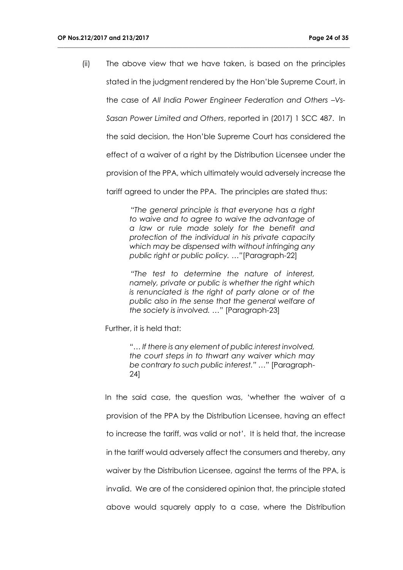(ii) The above view that we have taken, is based on the principles stated in the judgment rendered by the Hon'ble Supreme Court, in the case of *All India Power Engineer Federation and Others –Vs-*

**\_\_\_\_\_\_\_\_\_\_\_\_\_\_\_\_\_\_\_\_\_\_\_\_\_\_\_\_\_\_\_\_\_\_\_\_\_\_\_\_\_\_\_\_\_\_\_\_\_\_\_\_\_\_\_\_\_\_\_\_\_\_\_\_\_\_\_\_\_\_\_\_\_\_\_\_\_\_\_\_\_\_\_\_\_\_\_\_\_\_\_\_\_\_\_\_**

*Sasan Power Limited and Others*, reported in (2017) 1 SCC 487. In

the said decision, the Hon'ble Supreme Court has considered the

effect of a waiver of a right by the Distribution Licensee under the

provision of the PPA, which ultimately would adversely increase the

tariff agreed to under the PPA. The principles are stated thus:

"*The general principle is that everyone has a right to waive and to agree to waive the advantage of a law or rule made solely for the benefit and protection of the individual in his private capacity which may be dispensed with without infringing any public right or public policy. …"*[Paragraph-22]

*"The test to determine the nature of interest, namely, private or public is whether the right which is renunciated is the right of party alone or of the public also in the sense that the general welfare of the society is involved. …"* [Paragraph-23]

Further, it is held that:

*"… If there is any element of public interest involved, the court steps in to thwart any waiver which may be contrary to such public interest." …"* [Paragraph-24]

In the said case, the question was, 'whether the waiver of a provision of the PPA by the Distribution Licensee, having an effect to increase the tariff, was valid or not*'*. It is held that, the increase in the tariff would adversely affect the consumers and thereby, any waiver by the Distribution Licensee, against the terms of the PPA, is invalid. We are of the considered opinion that, the principle stated above would squarely apply to a case, where the Distribution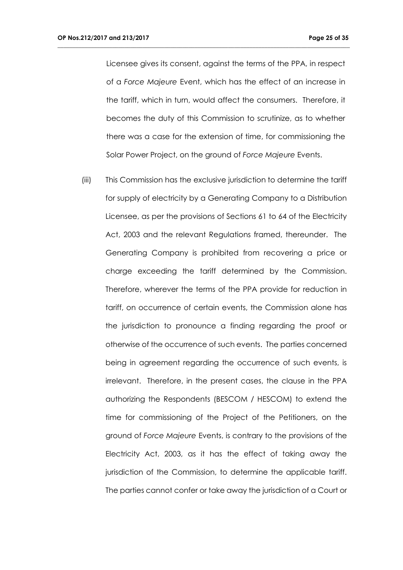Licensee gives its consent, against the terms of the PPA, in respect of a *Force Majeure* Event, which has the effect of an increase in the tariff, which in turn, would affect the consumers. Therefore, it becomes the duty of this Commission to scrutinize, as to whether there was a case for the extension of time, for commissioning the Solar Power Project, on the ground of *Force Majeure* Events.

**\_\_\_\_\_\_\_\_\_\_\_\_\_\_\_\_\_\_\_\_\_\_\_\_\_\_\_\_\_\_\_\_\_\_\_\_\_\_\_\_\_\_\_\_\_\_\_\_\_\_\_\_\_\_\_\_\_\_\_\_\_\_\_\_\_\_\_\_\_\_\_\_\_\_\_\_\_\_\_\_\_\_\_\_\_\_\_\_\_\_\_\_\_\_\_\_**

(iii) This Commission has the exclusive jurisdiction to determine the tariff for supply of electricity by a Generating Company to a Distribution Licensee, as per the provisions of Sections 61 to 64 of the Electricity Act, 2003 and the relevant Regulations framed, thereunder. The Generating Company is prohibited from recovering a price or charge exceeding the tariff determined by the Commission. Therefore, wherever the terms of the PPA provide for reduction in tariff, on occurrence of certain events, the Commission alone has the jurisdiction to pronounce a finding regarding the proof or otherwise of the occurrence of such events. The parties concerned being in agreement regarding the occurrence of such events, is irrelevant. Therefore, in the present cases, the clause in the PPA authorizing the Respondents (BESCOM / HESCOM) to extend the time for commissioning of the Project of the Petitioners, on the ground of *Force Majeure* Events, is contrary to the provisions of the Electricity Act, 2003, as it has the effect of taking away the jurisdiction of the Commission, to determine the applicable tariff. The parties cannot confer or take away the jurisdiction of a Court or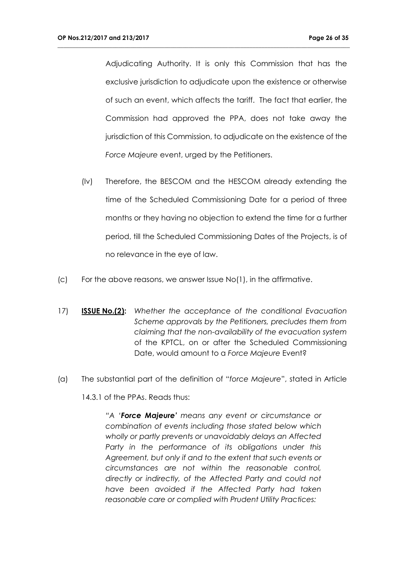Adjudicating Authority. It is only this Commission that has the exclusive jurisdiction to adjudicate upon the existence or otherwise of such an event, which affects the tariff. The fact that earlier, the Commission had approved the PPA, does not take away the jurisdiction of this Commission, to adjudicate on the existence of the *Force Majeure* event, urged by the Petitioners.

**\_\_\_\_\_\_\_\_\_\_\_\_\_\_\_\_\_\_\_\_\_\_\_\_\_\_\_\_\_\_\_\_\_\_\_\_\_\_\_\_\_\_\_\_\_\_\_\_\_\_\_\_\_\_\_\_\_\_\_\_\_\_\_\_\_\_\_\_\_\_\_\_\_\_\_\_\_\_\_\_\_\_\_\_\_\_\_\_\_\_\_\_\_\_\_\_**

- (Iv) Therefore, the BESCOM and the HESCOM already extending the time of the Scheduled Commissioning Date for a period of three months or they having no objection to extend the time for a further period, till the Scheduled Commissioning Dates of the Projects, is of no relevance in the eye of law.
- (c) For the above reasons, we answer Issue No(1), in the affirmative.
- 17) **ISSUE No.(2):** *Whether the acceptance of the conditional Evacuation Scheme approvals by the Petitioners, precludes them from claiming that the non-availability of the evacuation system*  of the KPTCL, on or after the Scheduled Commissioning Date, would amount to a *Force Majeure* Event?
- (a) The substantial part of the definition of "*force Majeure*", stated in Article

14.3.1 of the PPAs. Reads thus:

*"A 'Force Majeure' means any event or circumstance or combination of events including those stated below which wholly or partly prevents or unavoidably delays an Affected Party in the performance of its obligations under this Agreement, but only if and to the extent that such events or circumstances are not within the reasonable control, directly or indirectly, of the Affected Party and could not have been avoided if the Affected Party had taken reasonable care or complied with Prudent Utility Practices:*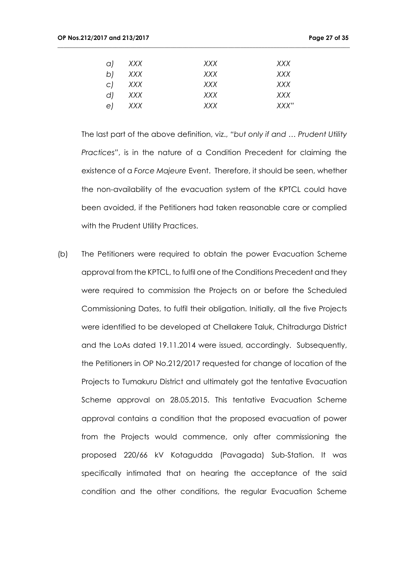| a)           | XXX | XXX | XXX   |
|--------------|-----|-----|-------|
| b)           | XXX | XXX | XXX   |
| $\mathsf{C}$ | XXX | XXX | XXX   |
| d            | XXX | XXX | XXX   |
| e)           | XXX | XXX | XXX'' |

**\_\_\_\_\_\_\_\_\_\_\_\_\_\_\_\_\_\_\_\_\_\_\_\_\_\_\_\_\_\_\_\_\_\_\_\_\_\_\_\_\_\_\_\_\_\_\_\_\_\_\_\_\_\_\_\_\_\_\_\_\_\_\_\_\_\_\_\_\_\_\_\_\_\_\_\_\_\_\_\_\_\_\_\_\_\_\_\_\_\_\_\_\_\_\_\_**

The last part of the above definition, viz., *"but only if and … Prudent Utility Practices"*, is in the nature of a Condition Precedent for claiming the existence of a *Force Majeure* Event. Therefore, it should be seen, whether the non-availability of the evacuation system of the KPTCL could have been avoided, if the Petitioners had taken reasonable care or complied with the Prudent Utility Practices.

(b) The Petitioners were required to obtain the power Evacuation Scheme approval from the KPTCL, to fulfil one of the Conditions Precedent and they were required to commission the Projects on or before the Scheduled Commissioning Dates, to fulfil their obligation. Initially, all the five Projects were identified to be developed at Chellakere Taluk, Chitradurga District and the LoAs dated 19.11.2014 were issued, accordingly. Subsequently, the Petitioners in OP No.212/2017 requested for change of location of the Projects to Tumakuru District and ultimately got the tentative Evacuation Scheme approval on 28.05.2015. This tentative Evacuation Scheme approval contains a condition that the proposed evacuation of power from the Projects would commence, only after commissioning the proposed 220/66 kV Kotagudda (Pavagada) Sub-Station. It was specifically intimated that on hearing the acceptance of the said condition and the other conditions, the regular Evacuation Scheme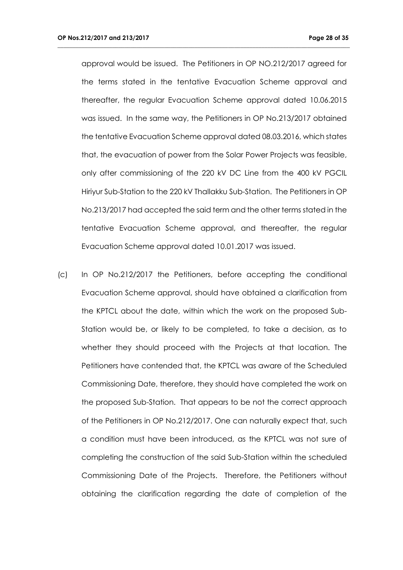approval would be issued. The Petitioners in OP NO.212/2017 agreed for the terms stated in the tentative Evacuation Scheme approval and thereafter, the regular Evacuation Scheme approval dated 10.06.2015 was issued. In the same way, the Petitioners in OP No.213/2017 obtained the tentative Evacuation Scheme approval dated 08.03.2016, which states that, the evacuation of power from the Solar Power Projects was feasible, only after commissioning of the 220 kV DC Line from the 400 kV PGCIL Hiriyur Sub-Station to the 220 kV Thallakku Sub-Station. The Petitioners in OP No.213/2017 had accepted the said term and the other terms stated in the tentative Evacuation Scheme approval, and thereafter, the regular Evacuation Scheme approval dated 10.01.2017 was issued.

**\_\_\_\_\_\_\_\_\_\_\_\_\_\_\_\_\_\_\_\_\_\_\_\_\_\_\_\_\_\_\_\_\_\_\_\_\_\_\_\_\_\_\_\_\_\_\_\_\_\_\_\_\_\_\_\_\_\_\_\_\_\_\_\_\_\_\_\_\_\_\_\_\_\_\_\_\_\_\_\_\_\_\_\_\_\_\_\_\_\_\_\_\_\_\_\_**

(c) In OP No.212/2017 the Petitioners, before accepting the conditional Evacuation Scheme approval, should have obtained a clarification from the KPTCL about the date, within which the work on the proposed Sub-Station would be, or likely to be completed, to take a decision, as to whether they should proceed with the Projects at that location. The Petitioners have contended that, the KPTCL was aware of the Scheduled Commissioning Date, therefore, they should have completed the work on the proposed Sub-Station. That appears to be not the correct approach of the Petitioners in OP No.212/2017. One can naturally expect that, such a condition must have been introduced, as the KPTCL was not sure of completing the construction of the said Sub-Station within the scheduled Commissioning Date of the Projects. Therefore, the Petitioners without obtaining the clarification regarding the date of completion of the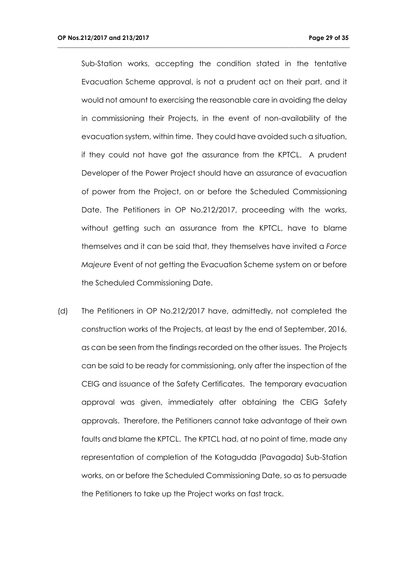Sub-Station works, accepting the condition stated in the tentative Evacuation Scheme approval, is not a prudent act on their part, and it would not amount to exercising the reasonable care in avoiding the delay in commissioning their Projects, in the event of non-availability of the evacuation system, within time. They could have avoided such a situation, if they could not have got the assurance from the KPTCL. A prudent Developer of the Power Project should have an assurance of evacuation of power from the Project, on or before the Scheduled Commissioning Date. The Petitioners in OP No.212/2017, proceeding with the works, without getting such an assurance from the KPTCL, have to blame themselves and it can be said that, they themselves have invited a *Force Majeure* Event of not getting the Evacuation Scheme system on or before the Scheduled Commissioning Date.

**\_\_\_\_\_\_\_\_\_\_\_\_\_\_\_\_\_\_\_\_\_\_\_\_\_\_\_\_\_\_\_\_\_\_\_\_\_\_\_\_\_\_\_\_\_\_\_\_\_\_\_\_\_\_\_\_\_\_\_\_\_\_\_\_\_\_\_\_\_\_\_\_\_\_\_\_\_\_\_\_\_\_\_\_\_\_\_\_\_\_\_\_\_\_\_\_**

(d) The Petitioners in OP No.212/2017 have, admittedly, not completed the construction works of the Projects, at least by the end of September, 2016, as can be seen from the findings recorded on the other issues. The Projects can be said to be ready for commissioning, only after the inspection of the CEIG and issuance of the Safety Certificates. The temporary evacuation approval was given, immediately after obtaining the CEIG Safety approvals. Therefore, the Petitioners cannot take advantage of their own faults and blame the KPTCL. The KPTCL had, at no point of time, made any representation of completion of the Kotagudda (Pavagada) Sub-Station works, on or before the Scheduled Commissioning Date, so as to persuade the Petitioners to take up the Project works on fast track.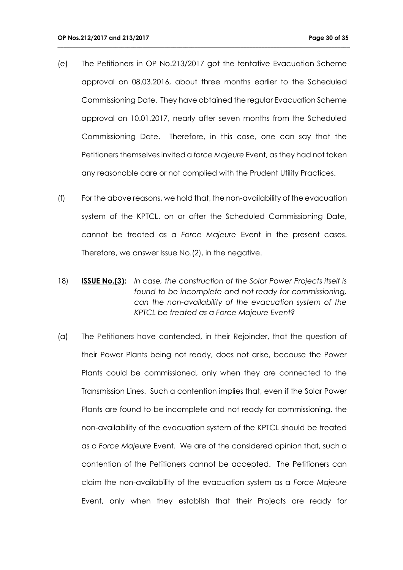(e) The Petitioners in OP No.213/2017 got the tentative Evacuation Scheme approval on 08.03.2016, about three months earlier to the Scheduled Commissioning Date. They have obtained the regular Evacuation Scheme approval on 10.01.2017, nearly after seven months from the Scheduled Commissioning Date. Therefore, in this case, one can say that the Petitioners themselves invited a *force Majeure* Event, as they had not taken any reasonable care or not complied with the Prudent Utility Practices.

- (f) For the above reasons, we hold that, the non-availability of the evacuation system of the KPTCL, on or after the Scheduled Commissioning Date, cannot be treated as a *Force Majeure* Event in the present cases. Therefore, we answer Issue No.(2), in the negative.
- 18) **ISSUE No.(3):** *In case, the construction of the Solar Power Projects itself is found to be incomplete and not ready for commissioning, can the non-availability of the evacuation system of the KPTCL be treated as a Force Majeure Event?*
- (a) The Petitioners have contended, in their Rejoinder, that the question of their Power Plants being not ready, does not arise, because the Power Plants could be commissioned, only when they are connected to the Transmission Lines. Such a contention implies that, even if the Solar Power Plants are found to be incomplete and not ready for commissioning, the non-availability of the evacuation system of the KPTCL should be treated as a *Force Majeure* Event. We are of the considered opinion that, such a contention of the Petitioners cannot be accepted. The Petitioners can claim the non-availability of the evacuation system as a *Force Majeure* Event, only when they establish that their Projects are ready for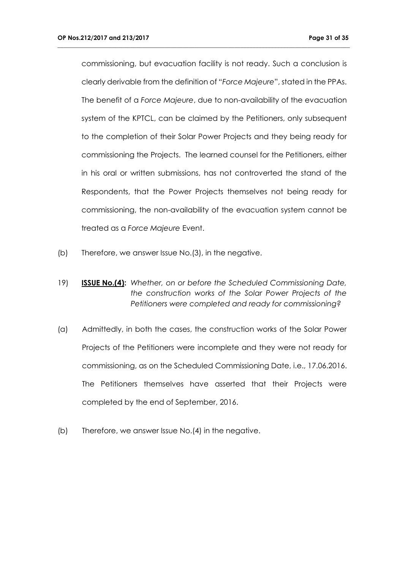commissioning, but evacuation facility is not ready. Such a conclusion is clearly derivable from the definition of "*Force Majeure*", stated in the PPAs. The benefit of a *Force Majeure*, due to non-availability of the evacuation system of the KPTCL, can be claimed by the Petitioners, only subsequent to the completion of their Solar Power Projects and they being ready for commissioning the Projects. The learned counsel for the Petitioners, either in his oral or written submissions, has not controverted the stand of the Respondents, that the Power Projects themselves not being ready for commissioning, the non-availability of the evacuation system cannot be treated as a *Force Majeure* Event.

- (b) Therefore, we answer Issue No.(3), in the negative.
- 19) **ISSUE No.(4):** *Whether, on or before the Scheduled Commissioning Date, the construction works of the Solar Power Projects of the Petitioners were completed and ready for commissioning?*
- (a) Admittedly, in both the cases, the construction works of the Solar Power Projects of the Petitioners were incomplete and they were not ready for commissioning, as on the Scheduled Commissioning Date, i.e., 17.06.2016. The Petitioners themselves have asserted that their Projects were completed by the end of September, 2016.
- (b) Therefore, we answer Issue No.(4) in the negative.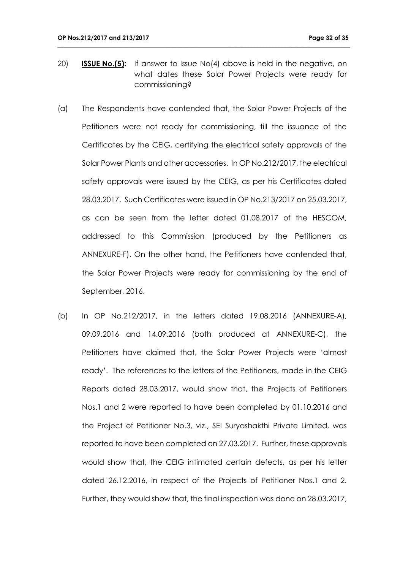20) **ISSUE No.(5):** If answer to Issue No(4) above is held in the negative, on what dates these Solar Power Projects were ready for commissioning?

- (a) The Respondents have contended that, the Solar Power Projects of the Petitioners were not ready for commissioning, till the issuance of the Certificates by the CEIG, certifying the electrical safety approvals of the Solar Power Plants and other accessories. In OP No.212/2017, the electrical safety approvals were issued by the CEIG, as per his Certificates dated 28.03.2017. Such Certificates were issued in OP No.213/2017 on 25.03.2017, as can be seen from the letter dated 01.08.2017 of the HESCOM, addressed to this Commission (produced by the Petitioners as ANNEXURE-F). On the other hand, the Petitioners have contended that, the Solar Power Projects were ready for commissioning by the end of September, 2016.
- (b) In OP No.212/2017, in the letters dated 19.08.2016 (ANNEXURE-A), 09.09.2016 and 14.09.2016 (both produced at ANNEXURE-C), the Petitioners have claimed that, the Solar Power Projects were 'almost ready'. The references to the letters of the Petitioners, made in the CEIG Reports dated 28.03.2017, would show that, the Projects of Petitioners Nos.1 and 2 were reported to have been completed by 01.10.2016 and the Project of Petitioner No.3, viz., SEI Suryashakthi Private Limited, was reported to have been completed on 27.03.2017. Further, these approvals would show that, the CEIG intimated certain defects, as per his letter dated 26.12.2016, in respect of the Projects of Petitioner Nos.1 and 2. Further, they would show that, the final inspection was done on 28.03.2017,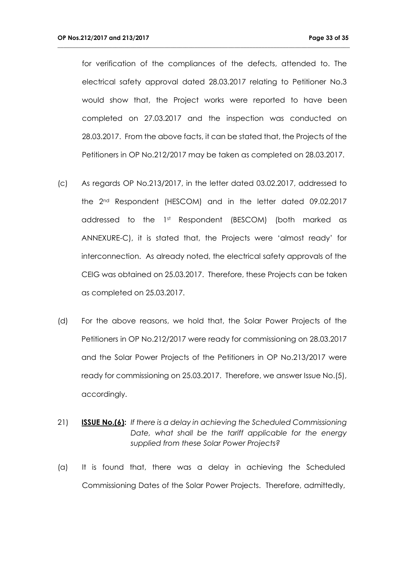for verification of the compliances of the defects, attended to. The electrical safety approval dated 28.03.2017 relating to Petitioner No.3 would show that, the Project works were reported to have been completed on 27.03.2017 and the inspection was conducted on 28.03.2017. From the above facts, it can be stated that, the Projects of the Petitioners in OP No.212/2017 may be taken as completed on 28.03.2017.

- (c) As regards OP No.213/2017, in the letter dated 03.02.2017, addressed to the 2nd Respondent (HESCOM) and in the letter dated 09.02.2017 addressed to the 1st Respondent (BESCOM) (both marked as ANNEXURE-C), it is stated that, the Projects were 'almost ready' for interconnection. As already noted, the electrical safety approvals of the CEIG was obtained on 25.03.2017. Therefore, these Projects can be taken as completed on 25.03.2017.
- (d) For the above reasons, we hold that, the Solar Power Projects of the Petitioners in OP No.212/2017 were ready for commissioning on 28.03.2017 and the Solar Power Projects of the Petitioners in OP No.213/2017 were ready for commissioning on 25.03.2017. Therefore, we answer Issue No.(5), accordingly.
- 21) **ISSUE No.(6):** *If there is a delay in achieving the Scheduled Commissioning Date, what shall be the tariff applicable for the energy supplied from these Solar Power Projects?*
- (a) It is found that, there was a delay in achieving the Scheduled Commissioning Dates of the Solar Power Projects. Therefore, admittedly,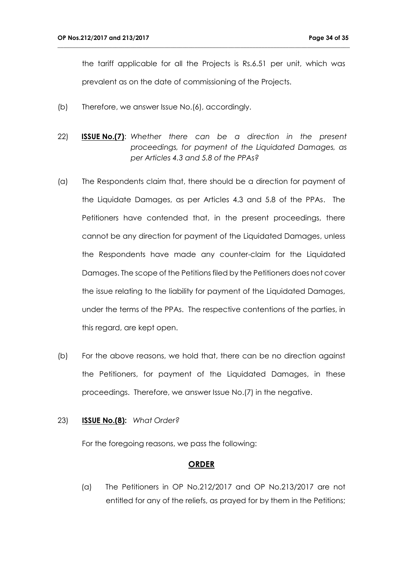the tariff applicable for all the Projects is Rs.6.51 per unit, which was prevalent as on the date of commissioning of the Projects.

**\_\_\_\_\_\_\_\_\_\_\_\_\_\_\_\_\_\_\_\_\_\_\_\_\_\_\_\_\_\_\_\_\_\_\_\_\_\_\_\_\_\_\_\_\_\_\_\_\_\_\_\_\_\_\_\_\_\_\_\_\_\_\_\_\_\_\_\_\_\_\_\_\_\_\_\_\_\_\_\_\_\_\_\_\_\_\_\_\_\_\_\_\_\_\_\_**

- (b) Therefore, we answer Issue No.(6), accordingly.
- 22) **ISSUE No.(7)**: *Whether there can be a direction in the present proceedings, for payment of the Liquidated Damages, as per Articles 4.3 and 5.8 of the PPAs?*
- (a) The Respondents claim that, there should be a direction for payment of the Liquidate Damages, as per Articles 4.3 and 5.8 of the PPAs. The Petitioners have contended that, in the present proceedings, there cannot be any direction for payment of the Liquidated Damages, unless the Respondents have made any counter-claim for the Liquidated Damages. The scope of the Petitions filed by the Petitioners does not cover the issue relating to the liability for payment of the Liquidated Damages, under the terms of the PPAs. The respective contentions of the parties, in this regard, are kept open.
- (b) For the above reasons, we hold that, there can be no direction against the Petitioners, for payment of the Liquidated Damages, in these proceedings. Therefore, we answer Issue No.(7) in the negative.

## 23) **ISSUE No.(8):** *What Order?*

For the foregoing reasons, we pass the following:

#### **ORDER**

(a) The Petitioners in OP No.212/2017 and OP No.213/2017 are not entitled for any of the reliefs, as prayed for by them in the Petitions;